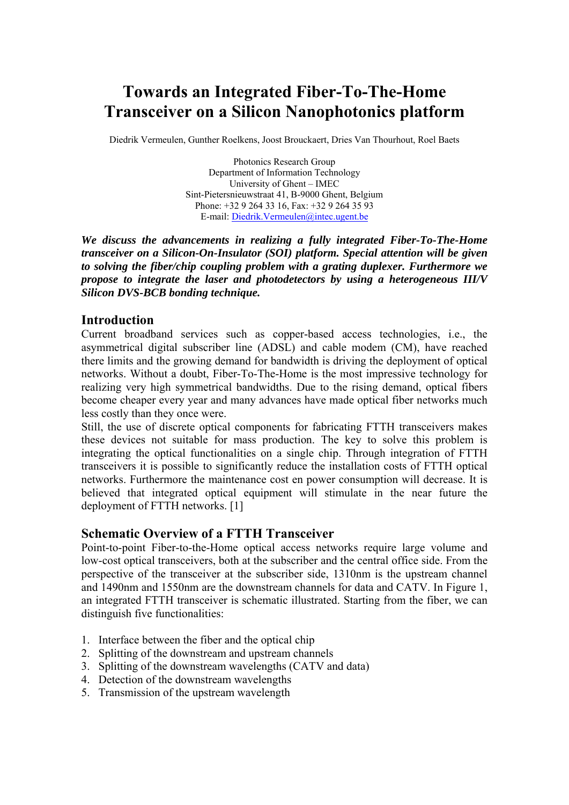# **Towards an Integrated Fiber-To-The-Home Transceiver on a Silicon Nanophotonics platform**

Diedrik Vermeulen, Gunther Roelkens, Joost Brouckaert, Dries Van Thourhout, Roel Baets

Photonics Research Group Department of Information Technology University of Ghent – IMEC Sint-Pietersnieuwstraat 41, B-9000 Ghent, Belgium Phone: +32 9 264 33 16, Fax: +32 9 264 35 93 E-mail: Diedrik.Vermeulen@intec.ugent.be

*We discuss the advancements in realizing a fully integrated Fiber-To-The-Home transceiver on a Silicon-On-Insulator (SOI) platform. Special attention will be given to solving the fiber/chip coupling problem with a grating duplexer. Furthermore we propose to integrate the laser and photodetectors by using a heterogeneous III/V Silicon DVS-BCB bonding technique.* 

# **Introduction**

Current broadband services such as copper-based access technologies, i.e., the asymmetrical digital subscriber line (ADSL) and cable modem (CM), have reached there limits and the growing demand for bandwidth is driving the deployment of optical networks. Without a doubt, Fiber-To-The-Home is the most impressive technology for realizing very high symmetrical bandwidths. Due to the rising demand, optical fibers become cheaper every year and many advances have made optical fiber networks much less costly than they once were.

Still, the use of discrete optical components for fabricating FTTH transceivers makes these devices not suitable for mass production. The key to solve this problem is integrating the optical functionalities on a single chip. Through integration of FTTH transceivers it is possible to significantly reduce the installation costs of FTTH optical networks. Furthermore the maintenance cost en power consumption will decrease. It is believed that integrated optical equipment will stimulate in the near future the deployment of FTTH networks. [1]

# **Schematic Overview of a FTTH Transceiver**

Point-to-point Fiber-to-the-Home optical access networks require large volume and low-cost optical transceivers, both at the subscriber and the central office side. From the perspective of the transceiver at the subscriber side, 1310nm is the upstream channel and 1490nm and 1550nm are the downstream channels for data and CATV. In Figure 1, an integrated FTTH transceiver is schematic illustrated. Starting from the fiber, we can distinguish five functionalities:

- 1. Interface between the fiber and the optical chip
- 2. Splitting of the downstream and upstream channels
- 3. Splitting of the downstream wavelengths (CATV and data)
- 4. Detection of the downstream wavelengths
- 5. Transmission of the upstream wavelength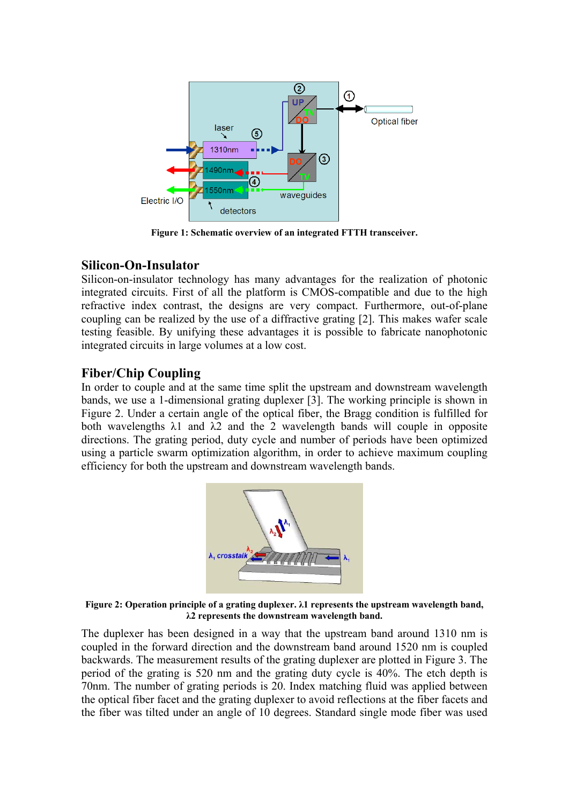

**Figure 1: Schematic overview of an integrated FTTH transceiver.** 

# **Silicon-On-Insulator**

Silicon-on-insulator technology has many advantages for the realization of photonic integrated circuits. First of all the platform is CMOS-compatible and due to the high refractive index contrast, the designs are very compact. Furthermore, out-of-plane coupling can be realized by the use of a diffractive grating [2]. This makes wafer scale testing feasible. By unifying these advantages it is possible to fabricate nanophotonic integrated circuits in large volumes at a low cost.

# **Fiber/Chip Coupling**

In order to couple and at the same time split the upstream and downstream wavelength bands, we use a 1-dimensional grating duplexer [3]. The working principle is shown in Figure 2. Under a certain angle of the optical fiber, the Bragg condition is fulfilled for both wavelengths  $\lambda$ 1 and  $\lambda$ 2 and the 2 wavelength bands will couple in opposite directions. The grating period, duty cycle and number of periods have been optimized using a particle swarm optimization algorithm, in order to achieve maximum coupling efficiency for both the upstream and downstream wavelength bands.



**Figure 2: Operation principle of a grating duplexer. λ1 represents the upstream wavelength band, λ2 represents the downstream wavelength band.** 

The duplexer has been designed in a way that the upstream band around 1310 nm is coupled in the forward direction and the downstream band around 1520 nm is coupled backwards. The measurement results of the grating duplexer are plotted in Figure 3. The period of the grating is 520 nm and the grating duty cycle is 40%. The etch depth is 70nm. The number of grating periods is 20. Index matching fluid was applied between the optical fiber facet and the grating duplexer to avoid reflections at the fiber facets and the fiber was tilted under an angle of 10 degrees. Standard single mode fiber was used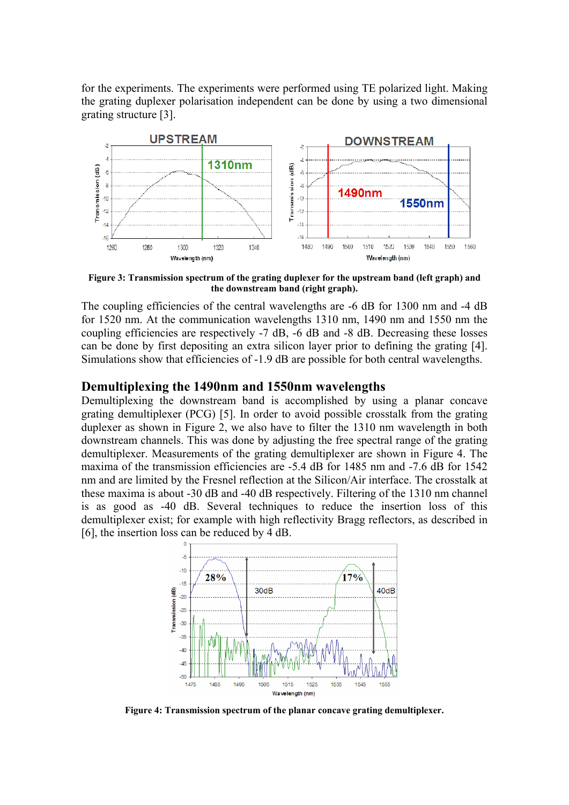for the experiments. The experiments were performed using TE polarized light. Making the grating duplexer polarisation independent can be done by using a two dimensional grating structure [3].



**Figure 3: Transmission spectrum of the grating duplexer for the upstream band (left graph) and the downstream band (right graph).** 

The coupling efficiencies of the central wavelengths are -6 dB for 1300 nm and -4 dB for 1520 nm. At the communication wavelengths 1310 nm, 1490 nm and 1550 nm the coupling efficiencies are respectively -7 dB, -6 dB and -8 dB. Decreasing these losses can be done by first depositing an extra silicon layer prior to defining the grating [4]. Simulations show that efficiencies of -1.9 dB are possible for both central wavelengths.

#### **Demultiplexing the 1490nm and 1550nm wavelengths**

Demultiplexing the downstream band is accomplished by using a planar concave grating demultiplexer (PCG) [5]. In order to avoid possible crosstalk from the grating duplexer as shown in Figure 2, we also have to filter the 1310 nm wavelength in both downstream channels. This was done by adjusting the free spectral range of the grating demultiplexer. Measurements of the grating demultiplexer are shown in Figure 4. The maxima of the transmission efficiencies are -5.4 dB for 1485 nm and -7.6 dB for 1542 nm and are limited by the Fresnel reflection at the Silicon/Air interface. The crosstalk at these maxima is about -30 dB and -40 dB respectively. Filtering of the 1310 nm channel is as good as -40 dB. Several techniques to reduce the insertion loss of this demultiplexer exist; for example with high reflectivity Bragg reflectors, as described in [6], the insertion loss can be reduced by 4 dB.



**Figure 4: Transmission spectrum of the planar concave grating demultiplexer.**